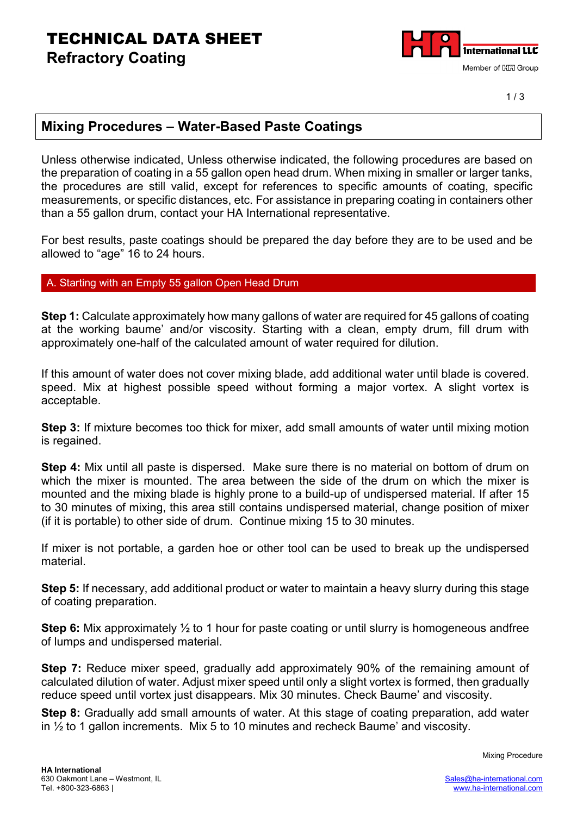### TECHNICAL DATA SHEET **Refractory Coating**



### **Mixing Procedures – Water-Based Paste Coatings**

Unless otherwise indicated, Unless otherwise indicated, the following procedures are based on the preparation of coating in a 55 gallon open head drum. When mixing in smaller or larger tanks, the procedures are still valid, except for references to specific amounts of coating, specific measurements, or specific distances, etc. For assistance in preparing coating in containers other than a 55 gallon drum, contact your HA International representative.

For best results, paste coatings should be prepared the day before they are to be used and be allowed to "age" 16 to 24 hours.

#### Starting with an Empty 55 gallon Open Head Drum

**Step 1:** Calculate approximately how many gallons of water are required for 45 gallons of coating at the working baume' and/or viscosity. Starting with a clean, empty drum, fill drum with approximately one-half of the calculated amount of water required for dilution.

If this amount of water does not cover mixing blade, add additional water until blade is covered. speed. Mix at highest possible speed without forming a major vortex. A slight vortex is acceptable.

**Step 3:** If mixture becomes too thick for mixer, add small amounts of water until mixing motion is regained.

**Step 4:** Mix until all paste is dispersed. Make sure there is no material on bottom of drum on which the mixer is mounted. The area between the side of the drum on which the mixer is mounted and the mixing blade is highly prone to a build-up of undispersed material. If after 15 to 30 minutes of mixing, this area still contains undispersed material, change position of mixer (if it is portable) to other side of drum. Continue mixing 15 to 30 minutes.

If mixer is not portable, a garden hoe or other tool can be used to break up the undispersed material.

**Step 5:** If necessary, add additional product or water to maintain a heavy slurry during this stage of coating preparation.

**Step 6:** Mix approximately  $\frac{1}{2}$  to 1 hour for paste coating or until slurry is homogeneous andfree of lumps and undispersed material.

**Step 7:** Reduce mixer speed, gradually add approximately 90% of the remaining amount of calculated dilution of water. Adjust mixer speed until only a slight vortex is formed, then gradually reduce speed until vortex just disappears. Mix 30 minutes. Check Baume' and viscosity.

**Step 8:** Gradually add small amounts of water. At this stage of coating preparation, add water in ½ to 1 gallon increments. Mix 5 to 10 minutes and recheck Baume' and viscosity.

Mixing Procedure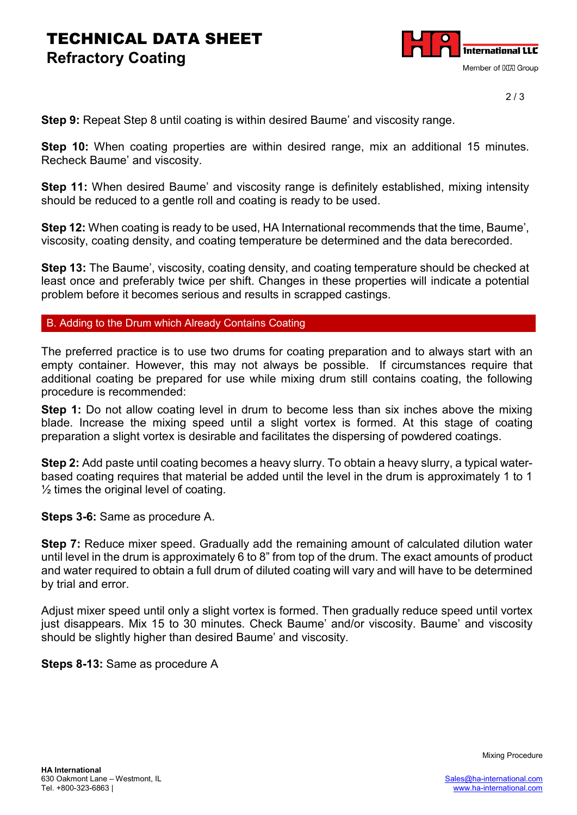## TECHNICAL DATA SHEET **Refractory Coating**



2 / 3

**Step 9:** Repeat Step 8 until coating is within desired Baume' and viscosity range.

**Step 10:** When coating properties are within desired range, mix an additional 15 minutes. Recheck Baume' and viscosity.

**Step 11:** When desired Baume' and viscosity range is definitely established, mixing intensity should be reduced to a gentle roll and coating is ready to be used.

**Step 12:** When coating is ready to be used, HA International recommends that the time, Baume', viscosity, coating density, and coating temperature be determined and the data berecorded.

**Step 13:** The Baume', viscosity, coating density, and coating temperature should be checked at least once and preferably twice per shift. Changes in these properties will indicate a potential problem before it becomes serious and results in scrapped castings.

B. Adding to the Drum which Already Contains Coating

The preferred practice is to use two drums for coating preparation and to always start with an empty container. However, this may not always be possible. If circumstances require that additional coating be prepared for use while mixing drum still contains coating, the following procedure is recommended:

**Step 1:** Do not allow coating level in drum to become less than six inches above the mixing blade. Increase the mixing speed until a slight vortex is formed. At this stage of coating preparation a slight vortex is desirable and facilitates the dispersing of powdered coatings.

**Step 2:** Add paste until coating becomes a heavy slurry. To obtain a heavy slurry, a typical waterbased coating requires that material be added until the level in the drum is approximately 1 to 1  $\frac{1}{2}$  times the original level of coating.

**Steps 3-6:** Same as procedure A.

**Step 7:** Reduce mixer speed. Gradually add the remaining amount of calculated dilution water until level in the drum is approximately 6 to 8" from top of the drum. The exact amounts of product and water required to obtain a full drum of diluted coating will vary and will have to be determined by trial and error.

Adjust mixer speed until only a slight vortex is formed. Then gradually reduce speed until vortex just disappears. Mix 15 to 30 minutes. Check Baume' and/or viscosity. Baume' and viscosity should be slightly higher than desired Baume' and viscosity.

**Steps 8-13:** Same as procedure A

Mixing Procedure